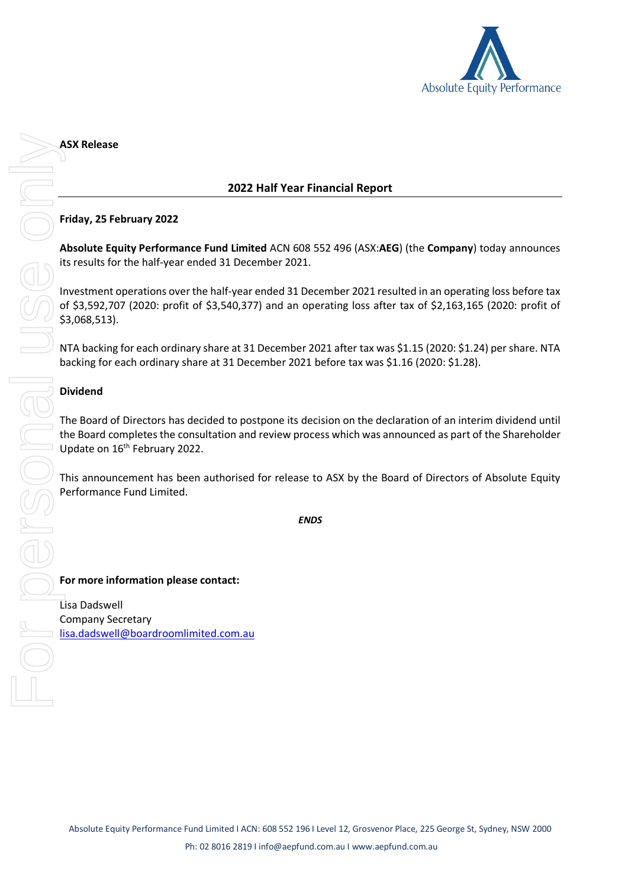

# **2022 Half Year Financial Report**

# **Friday, 25 February 2022**

**Absolute Equity Performance Fund Limited** ACN 608 552 496 (ASX:**AEG**) (the **Company**) today announces its results for the half-year ended 31 December 2021.

Investment operations over the half-year ended 31 December 2021 resulted in an operating loss before tax of \$3,592,707 (2020: profit of \$3,540,377) and an operating loss after tax of \$2,163,165 (2020: profit of \$3,068,513).

NTA backing for each ordinary share at 31 December 2021 after tax was \$1.15 (2020: \$1.24) per share. NTA backing for each ordinary share at 31 December 2021 before tax was \$1.16 (2020: \$1.28).

# **Dividend**

The Board of Directors has decided to postpone its decision on the declaration of an interim dividend until the Board completes the consultation and review process which was announced as part of the Shareholder Update on 16<sup>th</sup> February 2022.

This announcement has been authorised for release to ASX by the Board of Directors of Absolute Equity Performance Fund Limited.

*ENDS*

**For more information please contact:**

Lisa Dadswell Company Secretary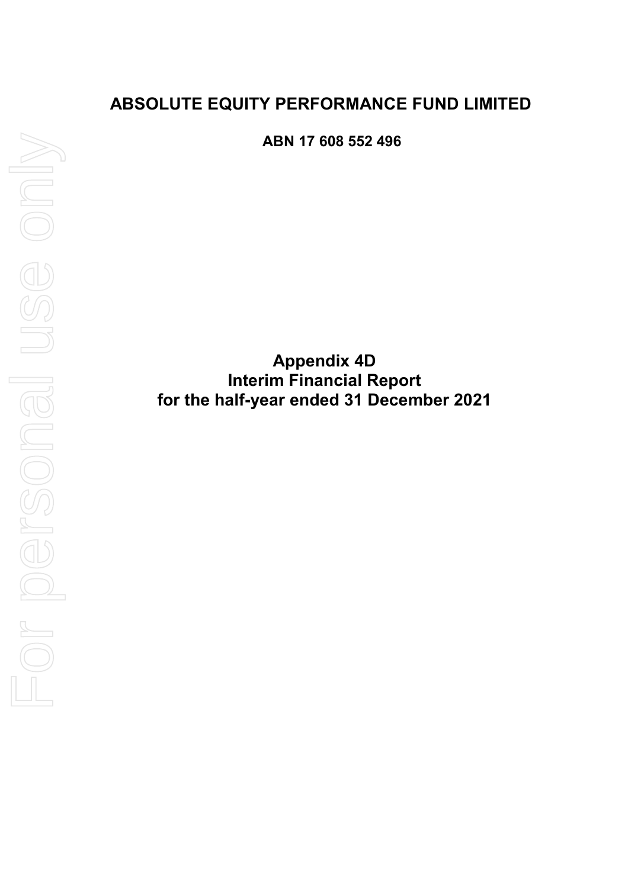# **ABSOLUTE EQUITY PERFORMANCE FUND LIMITED**

**ABN 17 608 552 496** 

**Appendix 4D Interim Financial Report for the half-year ended 31 December 2021**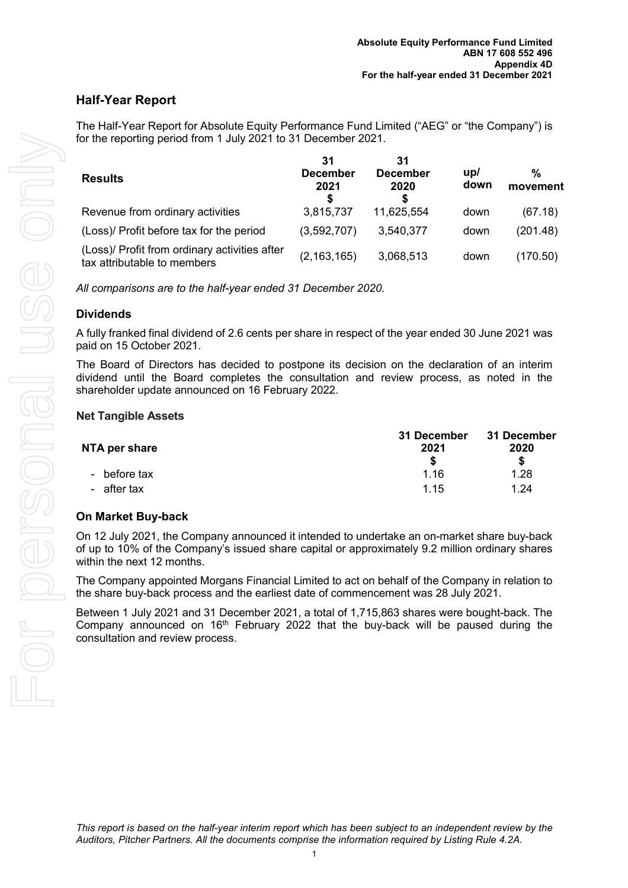# **Half-Year Report**

The Half-Year Report for Absolute Equity Performance Fund Limited ("AEG" or "the Company") is for the reporting period from 1 July 2021 to 31 December 2021.

| <b>Results</b>                                                               | 31<br>December<br>2021 | 31<br><b>December</b><br>2020<br>S | $\mathsf{u}\mathsf{p}$<br>down | %<br>movement |
|------------------------------------------------------------------------------|------------------------|------------------------------------|--------------------------------|---------------|
| Revenue from ordinary activities                                             | 3,815,737              | 11,625,554                         | down                           | (67.18)       |
| (Loss)/ Profit before tax for the period                                     | (3,592,707)            | 3.540,377                          | down                           | (201.48)      |
| (Loss)/ Profit from ordinary activities after<br>tax attributable to members | (2, 163, 165)          | 3,068,513                          | down                           | (170.50)      |

*All comparisons are to the half-year ended 31 December 2020.* 

# **Dividends**

A fully franked final dividend of 2.6 cents per share in respect of the year ended 30 June 2021 was paid on 15 October 2021.

The Board of Directors has decided to postpone its decision on the declaration of an interim dividend until the Board completes the consultation and review process, as noted in the shareholder update announced on 16 February 2022.

# **Net Tangible Assets**

| NTA per share | 31 December<br>2021 | 31 December<br>2020 |  |
|---------------|---------------------|---------------------|--|
|               |                     | S                   |  |
| - before tax  | 1.16                | 1.28                |  |
| - after tax   | 1 15                | 1.24                |  |

# **On Market Buy-back**

On 12 July 2021, the Company announced it intended to undertake an on-market share buy-back of up to 10% of the Company's issued share capital or approximately 9.2 million ordinary shares within the next 12 months.

The Company appointed Morgans Financial Limited to act on behalf of the Company in relation to the share buy-back process and the earliest date of commencement was 28 July 2021.

Between 1 July 2021 and 31 December 2021, a total of 1,715,863 shares were bought-back. The Company announced on  $16<sup>th</sup>$  February 2022 that the buy-back will be paused during the consultation and review process.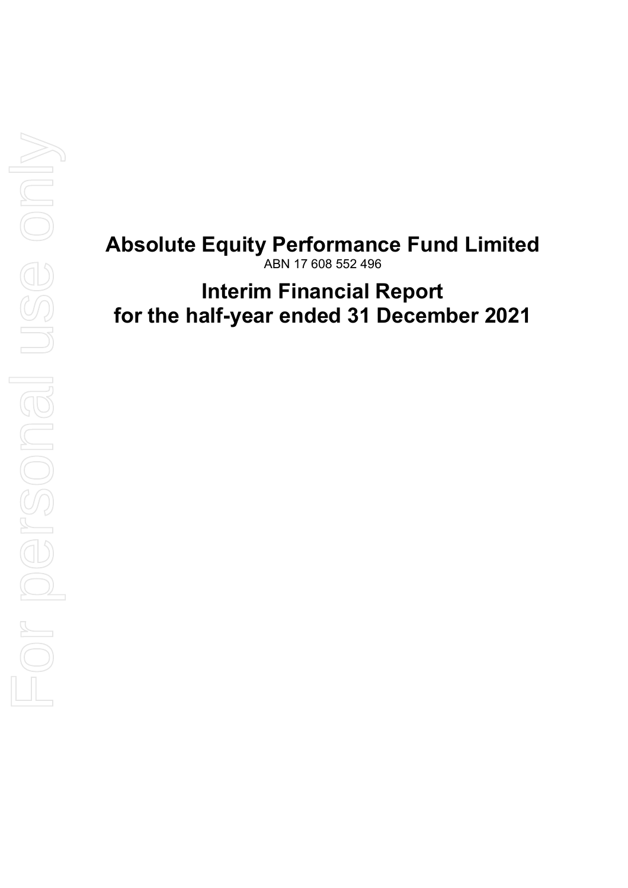# **Absolute Equity Performance Fund Limited**  ABN 17 608 552 496

# **Interim Financial Report for the half-year ended 31 December 2021**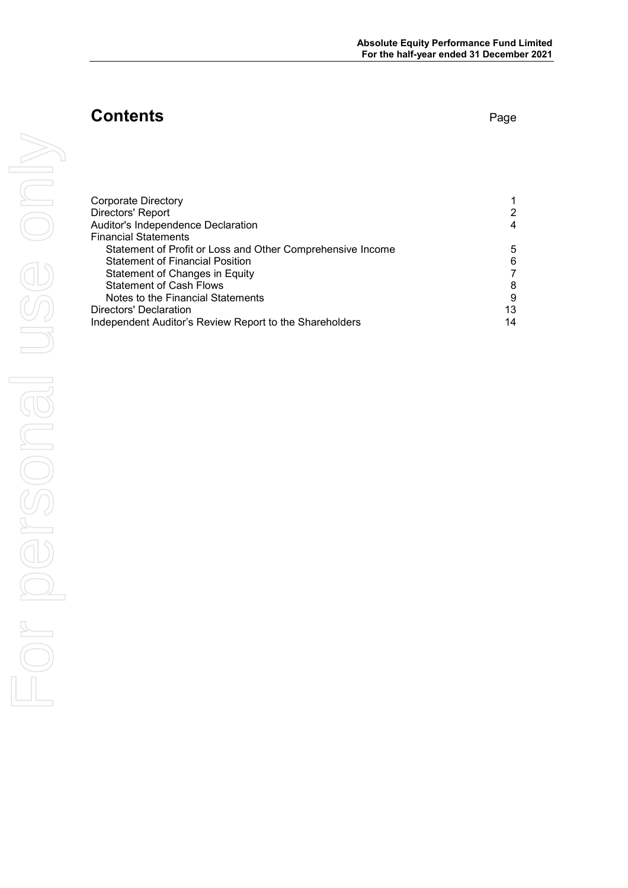# **Contents** Page

|    | <b>Corporate Directory</b><br>Directors' Report<br>Auditor's Independence Declaration<br><b>Financial Statements</b><br>Statement of Profit or Loss and Other Comprehensive Income<br><b>Statement of Financial Position</b> | $\mathbf{1}$<br>$\begin{array}{c} 2 \\ 4 \end{array}$<br>5<br>$\overline{6}$ |
|----|------------------------------------------------------------------------------------------------------------------------------------------------------------------------------------------------------------------------------|------------------------------------------------------------------------------|
|    | Statement of Changes in Equity<br><b>Statement of Cash Flows</b><br>Notes to the Financial Statements<br><b>Directors' Declaration</b><br>Independent Auditor's Review Report to the Shareholders                            | $\overline{7}$<br>$\bf 8$<br>$\boldsymbol{9}$<br>13<br>14                    |
|    |                                                                                                                                                                                                                              |                                                                              |
|    |                                                                                                                                                                                                                              |                                                                              |
|    |                                                                                                                                                                                                                              |                                                                              |
| Or |                                                                                                                                                                                                                              |                                                                              |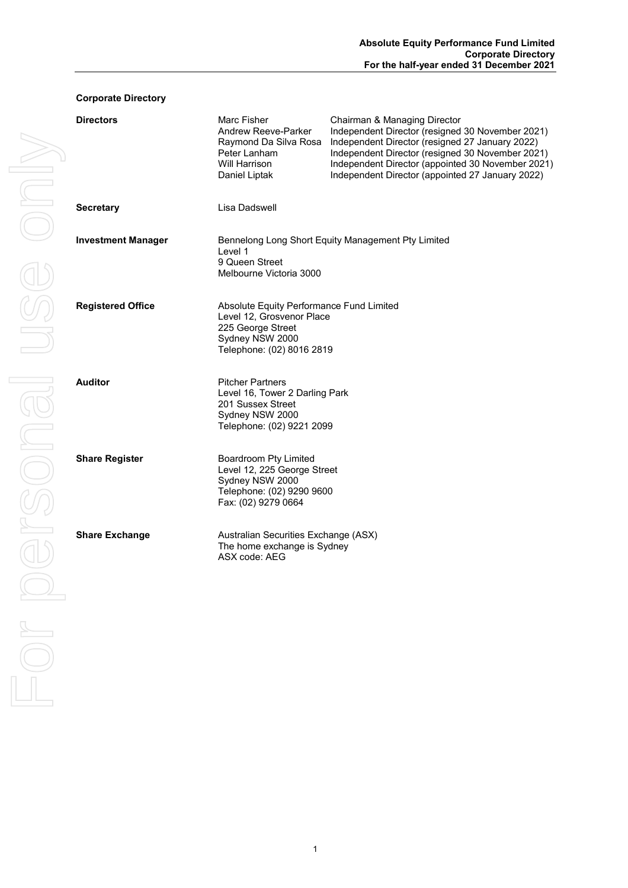# **Corporate Directory**

| <b>Directors</b>          | Marc Fisher<br>Andrew Reeve-Parker<br>Raymond Da Silva Rosa<br>Peter Lanham<br>Will Harrison<br>Daniel Liptak                              | Chairman & Managing Director<br>Independent Director (resigned 30 November 2021)<br>Independent Director (resigned 27 January 2022)<br>Independent Director (resigned 30 November 2021)<br>Independent Director (appointed 30 November 2021)<br>Independent Director (appointed 27 January 2022) |
|---------------------------|--------------------------------------------------------------------------------------------------------------------------------------------|--------------------------------------------------------------------------------------------------------------------------------------------------------------------------------------------------------------------------------------------------------------------------------------------------|
| <b>Secretary</b>          | Lisa Dadswell                                                                                                                              |                                                                                                                                                                                                                                                                                                  |
| <b>Investment Manager</b> | Level 1<br>9 Queen Street<br>Melbourne Victoria 3000                                                                                       | Bennelong Long Short Equity Management Pty Limited                                                                                                                                                                                                                                               |
| <b>Registered Office</b>  | Absolute Equity Performance Fund Limited<br>Level 12, Grosvenor Place<br>225 George Street<br>Sydney NSW 2000<br>Telephone: (02) 8016 2819 |                                                                                                                                                                                                                                                                                                  |
| <b>Auditor</b>            | <b>Pitcher Partners</b><br>Level 16, Tower 2 Darling Park<br>201 Sussex Street<br>Sydney NSW 2000<br>Telephone: (02) 9221 2099             |                                                                                                                                                                                                                                                                                                  |
| <b>Share Register</b>     | Boardroom Pty Limited<br>Level 12, 225 George Street<br>Sydney NSW 2000<br>Telephone: (02) 9290 9600<br>Fax: (02) 9279 0664                |                                                                                                                                                                                                                                                                                                  |
| <b>Share Exchange</b>     | Australian Securities Exchange (ASX)<br>The home exchange is Sydney<br>ASX code: AEG                                                       |                                                                                                                                                                                                                                                                                                  |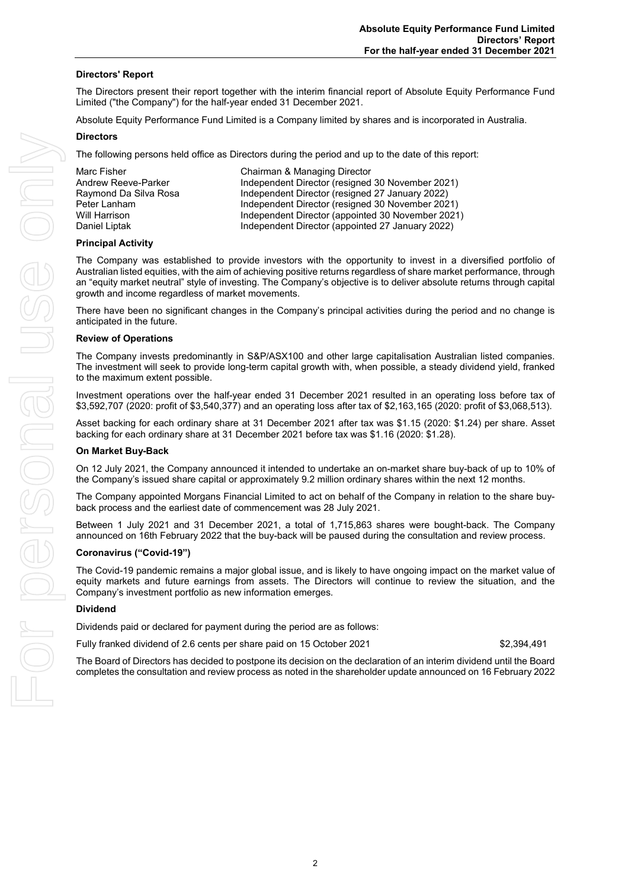#### **Directors' Report**

The Directors present their report together with the interim financial report of Absolute Equity Performance Fund Limited ("the Company") for the half-year ended 31 December 2021.

Absolute Equity Performance Fund Limited is a Company limited by shares and is incorporated in Australia.

#### **Directors**

The following persons held office as Directors during the period and up to the date of this report:

| Marc Fisher           | Chairman & Managing Director                      |
|-----------------------|---------------------------------------------------|
| Andrew Reeve-Parker   | Independent Director (resigned 30 November 2021)  |
| Raymond Da Silva Rosa | Independent Director (resigned 27 January 2022)   |
| Peter Lanham          | Independent Director (resigned 30 November 2021)  |
| Will Harrison         | Independent Director (appointed 30 November 2021) |
| Daniel Liptak         | Independent Director (appointed 27 January 2022)  |

#### **Principal Activity**

The Company was established to provide investors with the opportunity to invest in a diversified portfolio of Australian listed equities, with the aim of achieving positive returns regardless of share market performance, through an "equity market neutral" style of investing. The Company's objective is to deliver absolute returns through capital growth and income regardless of market movements.

There have been no significant changes in the Company's principal activities during the period and no change is anticipated in the future.

#### **Review of Operations**

The Company invests predominantly in S&P/ASX100 and other large capitalisation Australian listed companies. The investment will seek to provide long-term capital growth with, when possible, a steady dividend yield, franked to the maximum extent possible.

Investment operations over the half-year ended 31 December 2021 resulted in an operating loss before tax of \$3,592,707 (2020: profit of \$3,540,377) and an operating loss after tax of \$2,163,165 (2020: profit of \$3,068,513).

Asset backing for each ordinary share at 31 December 2021 after tax was \$1.15 (2020: \$1.24) per share. Asset backing for each ordinary share at 31 December 2021 before tax was \$1.16 (2020: \$1.28).

#### **On Market Buy-Back**

On 12 July 2021, the Company announced it intended to undertake an on-market share buy-back of up to 10% of the Company's issued share capital or approximately 9.2 million ordinary shares within the next 12 months.

The Company appointed Morgans Financial Limited to act on behalf of the Company in relation to the share buyback process and the earliest date of commencement was 28 July 2021.

Between 1 July 2021 and 31 December 2021, a total of 1,715,863 shares were bought-back. The Company announced on 16th February 2022 that the buy-back will be paused during the consultation and review process.

#### **Coronavirus ("Covid-19")**

The Covid-19 pandemic remains a major global issue, and is likely to have ongoing impact on the market value of equity markets and future earnings from assets. The Directors will continue to review the situation, and the Company's investment portfolio as new information emerges.

#### **Dividend**

Dividends paid or declared for payment during the period are as follows:

Fully franked dividend of 2.6 cents per share paid on 15 October 2021 \$2,394,491

The Board of Directors has decided to postpone its decision on the declaration of an interim dividend until the Board completes the consultation and review process as noted in the shareholder update announced on 16 February 2022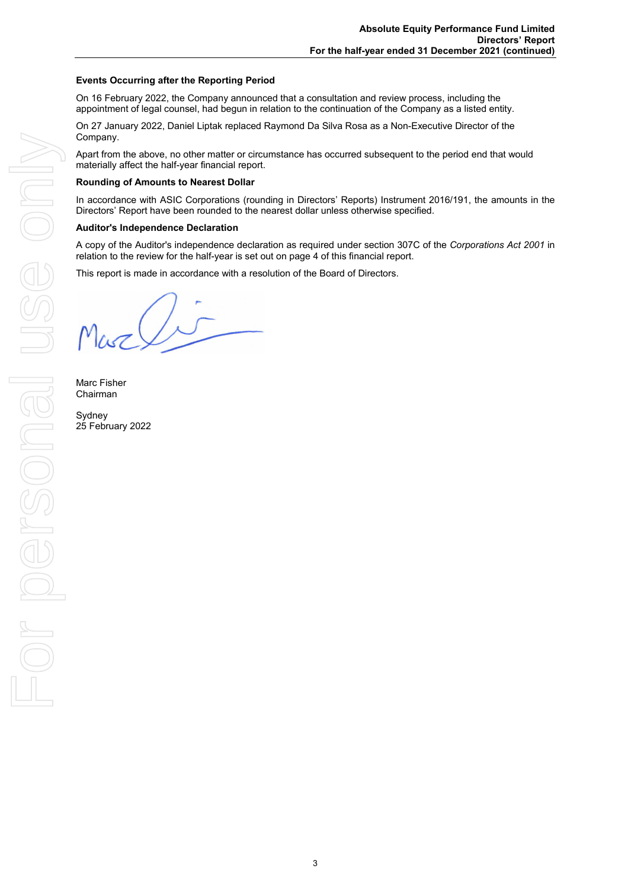#### **Events Occurring after the Reporting Period**

On 16 February 2022, the Company announced that a consultation and review process, including the appointment of legal counsel, had begun in relation to the continuation of the Company as a listed entity.

On 27 January 2022, Daniel Liptak replaced Raymond Da Silva Rosa as a Non-Executive Director of the Company.

Apart from the above, no other matter or circumstance has occurred subsequent to the period end that would materially affect the half-year financial report.

#### **Rounding of Amounts to Nearest Dollar**

In accordance with ASIC Corporations (rounding in Directors' Reports) Instrument 2016/191, the amounts in the Directors' Report have been rounded to the nearest dollar unless otherwise specified.

#### **Auditor's Independence Declaration**

A copy of the Auditor's independence declaration as required under section 307C of the *Corporations Act 2001* in relation to the review for the half-year is set out on page 4 of this financial report.

This report is made in accordance with a resolution of the Board of Directors.

Musc

Marc Fisher Chairman

Sydney 25 February 2022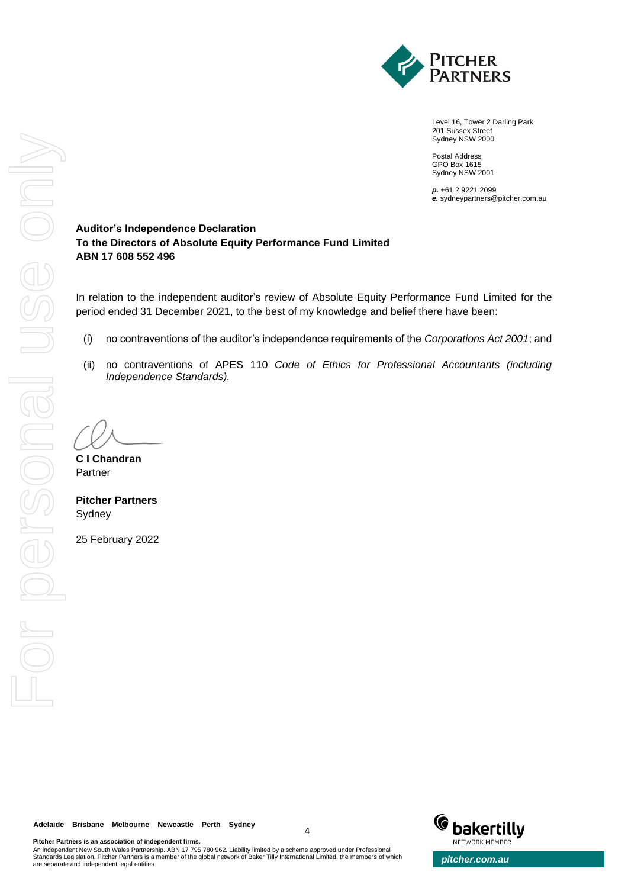

Level 16, Tower 2 Darling Park 201 Sussex Street Sydney NSW 2000

Postal Address GPO Box 1615 Sydney NSW 2001

*p.* +61 2 9221 2099 *e.* sydneypartners@pitcher.com.au

# **Auditor's Independence Declaration To the Directors of Absolute Equity Performance Fund Limited ABN 17 608 552 496**

In relation to the independent auditor's review of Absolute Equity Performance Fund Limited for the period ended 31 December 2021, to the best of my knowledge and belief there have been:

- (i) no contraventions of the auditor's independence requirements of the *Corporations Act 2001*; and
- (ii) no contraventions of APES 110 *Code of Ethics for Professional Accountants (including Independence Standards).*

**C I Chandran** Partner

**Pitcher Partners** Sydney

25 February 2022

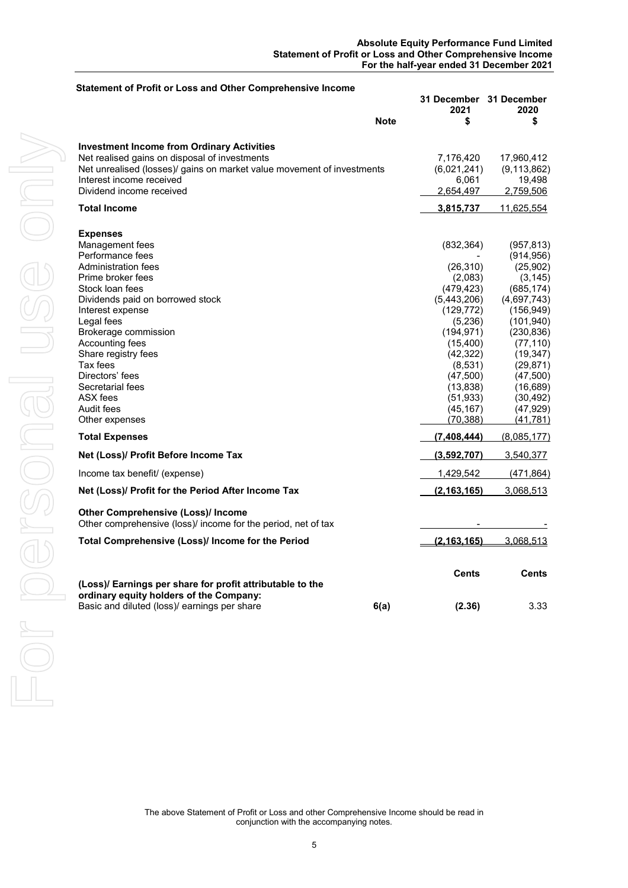| <b>Note</b>                                                                                                | 31 December 31 December<br>2021<br>\$ | 2020          |
|------------------------------------------------------------------------------------------------------------|---------------------------------------|---------------|
|                                                                                                            |                                       | \$            |
|                                                                                                            |                                       |               |
| <b>Investment Income from Ordinary Activities</b>                                                          |                                       |               |
| Net realised gains on disposal of investments                                                              | 7,176,420                             | 17,960,412    |
| Net unrealised (losses)/ gains on market value movement of investments                                     | (6,021,241)                           | (9, 113, 862) |
| Interest income received                                                                                   | 6,061                                 | 19,498        |
| Dividend income received                                                                                   | 2,654,497                             | 2,759,506     |
| <b>Total Income</b>                                                                                        | <u>3,815,737</u>                      | 11,625,554    |
| <b>Expenses</b>                                                                                            |                                       |               |
| Management fees                                                                                            | (832, 364)                            | (957, 813)    |
| Performance fees                                                                                           |                                       | (914, 956)    |
| Administration fees                                                                                        | (26, 310)                             | (25,902)      |
| Prime broker fees                                                                                          | (2,083)                               | (3, 145)      |
| Stock loan fees                                                                                            | (479, 423)                            | (685, 174)    |
| Dividends paid on borrowed stock                                                                           | (5,443,206)                           | (4,697,743)   |
| Interest expense                                                                                           | (129, 772)                            | (156, 949)    |
| Legal fees                                                                                                 | (5,236)                               | (101, 940)    |
| Brokerage commission                                                                                       | (194, 971)                            | (230, 836)    |
| Accounting fees                                                                                            | (15, 400)                             | (77, 110)     |
| Share registry fees                                                                                        | (42, 322)                             | (19, 347)     |
| Tax fees                                                                                                   | (8,531)                               | (29, 871)     |
| Directors' fees                                                                                            | (47, 500)                             | (47,500)      |
| Secretarial fees                                                                                           | (13, 838)                             | (16,689)      |
| ASX fees                                                                                                   | (51, 933)                             | (30, 492)     |
| Audit fees                                                                                                 | (45, 167)                             | (47, 929)     |
| Other expenses                                                                                             | (70, 388)                             | (41, 781)     |
| <b>Total Expenses</b>                                                                                      | (7,408,444)                           | (8,085,177)   |
| Net (Loss)/ Profit Before Income Tax                                                                       | (3,592,707)                           | 3,540,377     |
| Income tax benefit/ (expense)                                                                              | 1,429,542                             | (471, 864)    |
| Net (Loss)/ Profit for the Period After Income Tax                                                         | (2, 163, 165)                         | 3,068,513     |
| <b>Other Comprehensive (Loss)/ Income</b><br>Other comprehensive (loss)/ income for the period, net of tax |                                       |               |
| Total Comprehensive (Loss)/ Income for the Period                                                          | (2, 163, 165)                         | 3,068,513     |
|                                                                                                            |                                       |               |
|                                                                                                            | <b>Cents</b>                          | <b>Cents</b>  |
| (Loss)/ Earnings per share for profit attributable to the<br>ordinary equity holders of the Company:       |                                       |               |
| Basic and diluted (loss)/ earnings per share<br>6(a)                                                       | (2.36)                                | 3.33          |

The above Statement of Profit or Loss and other Comprehensive Income should be read in conjunction with the accompanying notes.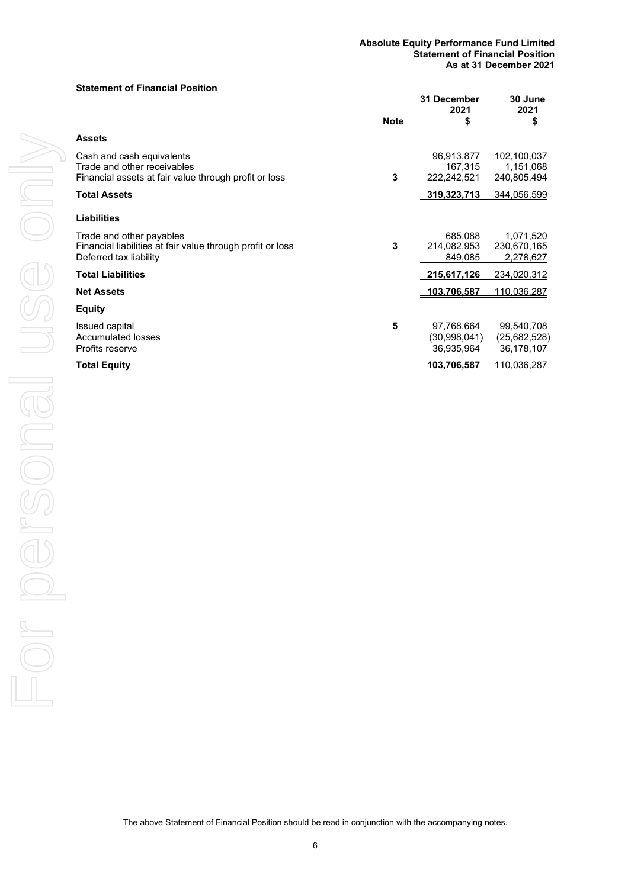#### **Statement of Financial Position**

|                                                                                                                   | <b>Note</b> | 31 December<br>2021<br>\$                | 30 June<br>2021<br>\$                    |
|-------------------------------------------------------------------------------------------------------------------|-------------|------------------------------------------|------------------------------------------|
| <b>Assets</b>                                                                                                     |             |                                          |                                          |
| Cash and cash equivalents<br>Trade and other receivables<br>Financial assets at fair value through profit or loss | 3           | 96,913,877<br>167,315<br>222,242,521     | 102,100,037<br>1,151,068<br>240,805,494  |
| <b>Total Assets</b>                                                                                               |             | 319,323,713                              | 344,056,599                              |
| <b>Liabilities</b>                                                                                                |             |                                          |                                          |
| Trade and other payables<br>Financial liabilities at fair value through profit or loss<br>Deferred tax liability  | 3           | 685,088<br>214,082,953<br>849,085        | 1,071,520<br>230,670,165<br>2,278,627    |
| <b>Total Liabilities</b>                                                                                          |             | 215,617,126                              | 234,020,312                              |
| <b>Net Assets</b>                                                                                                 |             | 103,706,587                              | 110,036,287                              |
| <b>Equity</b>                                                                                                     |             |                                          |                                          |
| Issued capital<br><b>Accumulated losses</b><br>Profits reserve                                                    | 5           | 97,768,664<br>(30.998.041)<br>36,935,964 | 99,540,708<br>(25,682,528)<br>36,178,107 |
| <b>Total Equity</b>                                                                                               |             | 103,706,587                              | 110,036,287                              |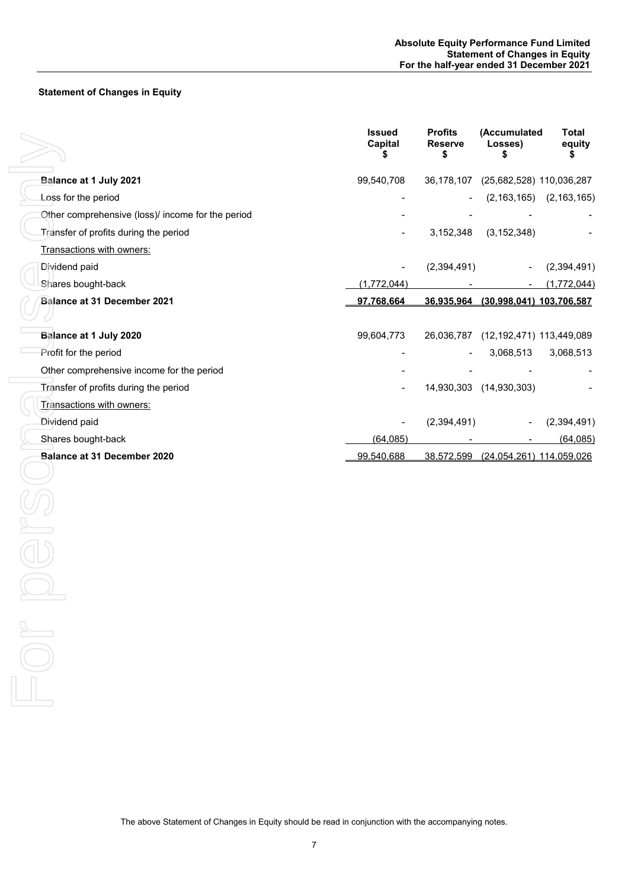# **Statement of Changes in Equity**

|                                                   | <b>Issued</b><br>Capital | <b>Profits</b><br><b>Reserve</b><br>\$ | (Accumulated<br>Losses)<br>\$       | <b>Total</b><br>equity          |
|---------------------------------------------------|--------------------------|----------------------------------------|-------------------------------------|---------------------------------|
| Balance at 1 July 2021                            | 99,540,708               | 36,178,107                             | (25,682,528) 110,036,287            |                                 |
| Loss for the period                               |                          |                                        |                                     | $(2, 163, 165)$ $(2, 163, 165)$ |
| Other comprehensive (loss)/ income for the period |                          |                                        |                                     |                                 |
| Transfer of profits during the period             |                          | 3,152,348                              | (3, 152, 348)                       |                                 |
| Transactions with owners:                         |                          |                                        |                                     |                                 |
| Dividend paid                                     |                          | (2,394,491)                            |                                     | (2,394,491)                     |
| Shares bought-back                                | (1,772,044)              |                                        |                                     | (1,772,044)                     |
| Balance at 31 December 2021                       | 97,768,664               |                                        | 36,935,964 (30,998,041) 103,706,587 |                                 |
| Balance at 1 July 2020                            | 99,604,773               |                                        | 26,036,787 (12,192,471) 113,449,089 |                                 |
| Profit for the period                             |                          |                                        | 3,068,513                           | 3,068,513                       |
| Other comprehensive income for the period         |                          |                                        |                                     |                                 |
| Transfer of profits during the period             |                          |                                        | 14,930,303 (14,930,303)             |                                 |
| Transactions with owners:                         |                          |                                        |                                     |                                 |
| Dividend paid                                     |                          | (2,394,491)                            |                                     | (2,394,491)                     |
| Shares bought-back                                | (64, 085)                |                                        |                                     | (64, 085)                       |
| Balance at 31 December 2020                       | 99,540,688               |                                        | 38,572,599 (24,054,261) 114,059,026 |                                 |
|                                                   |                          |                                        |                                     |                                 |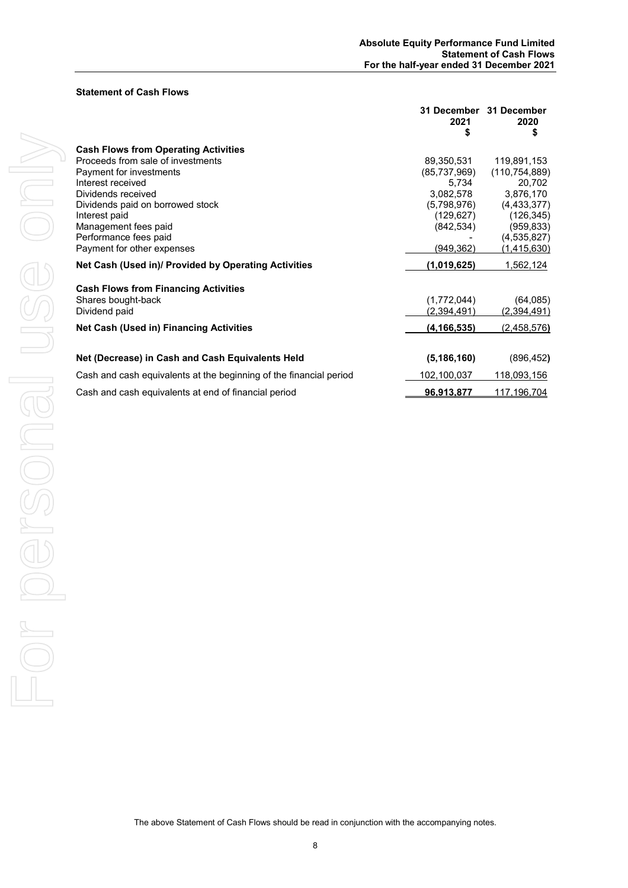#### **Statement of Cash Flows**

|                                                                    | <b>31 December</b><br>2021<br>\$ | 31 December<br>2020<br>\$ |
|--------------------------------------------------------------------|----------------------------------|---------------------------|
| <b>Cash Flows from Operating Activities</b>                        |                                  |                           |
| Proceeds from sale of investments                                  | 89,350,531                       | 119,891,153               |
| Payment for investments                                            | (85,737,969)                     | (110, 754, 889)           |
| Interest received                                                  | 5,734                            | 20,702                    |
| Dividends received                                                 | 3,082,578                        | 3,876,170                 |
| Dividends paid on borrowed stock                                   | (5,798,976)                      | (4, 433, 377)             |
| Interest paid                                                      | (129,627)                        | (126, 345)                |
| Management fees paid                                               | (842, 534)                       | (959, 833)                |
| Performance fees paid                                              |                                  | (4,535,827)               |
| Payment for other expenses                                         | (949, 362)                       | <u>(1,415,630)</u>        |
| Net Cash (Used in)/ Provided by Operating Activities               | (1,019,625)                      | 1,562,124                 |
| <b>Cash Flows from Financing Activities</b>                        |                                  |                           |
| Shares bought-back                                                 | (1,772,044)                      | (64, 085)                 |
| Dividend paid                                                      | (2,394,491)                      | <u>(2,394,491)</u>        |
| <b>Net Cash (Used in) Financing Activities</b>                     | (4, 166, 535)                    | (2,458,576)               |
|                                                                    |                                  |                           |
| Net (Decrease) in Cash and Cash Equivalents Held                   | (5, 186, 160)                    | (896, 452)                |
| Cash and cash equivalents at the beginning of the financial period | 102,100,037                      | <u>118,093,156</u>        |
| Cash and cash equivalents at end of financial period               | 96,913,877                       | <u>117,196,704</u>        |
|                                                                    |                                  |                           |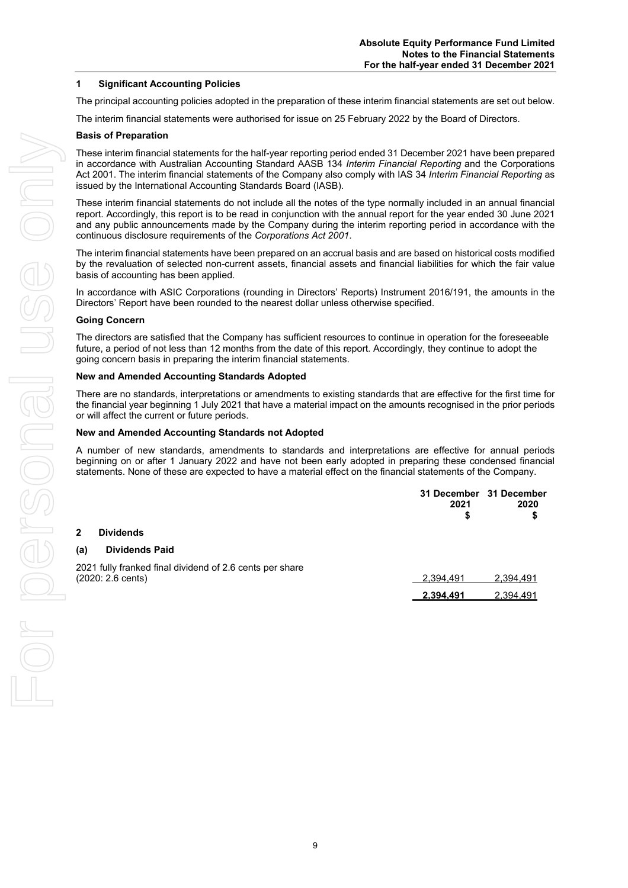#### **1 Significant Accounting Policies**

The principal accounting policies adopted in the preparation of these interim financial statements are set out below.

The interim financial statements were authorised for issue on 25 February 2022 by the Board of Directors.

#### **Basis of Preparation**

These interim financial statements for the half-year reporting period ended 31 December 2021 have been prepared in accordance with Australian Accounting Standard AASB 134 *Interim Financial Reporting* and the Corporations Act 2001. The interim financial statements of the Company also comply with IAS 34 *Interim Financial Reporting* as issued by the International Accounting Standards Board (IASB).

These interim financial statements do not include all the notes of the type normally included in an annual financial report. Accordingly, this report is to be read in conjunction with the annual report for the year ended 30 June 2021 and any public announcements made by the Company during the interim reporting period in accordance with the continuous disclosure requirements of the *Corporations Act 2001*.

The interim financial statements have been prepared on an accrual basis and are based on historical costs modified by the revaluation of selected non-current assets, financial assets and financial liabilities for which the fair value basis of accounting has been applied.

In accordance with ASIC Corporations (rounding in Directors' Reports) Instrument 2016/191, the amounts in the Directors' Report have been rounded to the nearest dollar unless otherwise specified.

#### **Going Concern**

The directors are satisfied that the Company has sufficient resources to continue in operation for the foreseeable future, a period of not less than 12 months from the date of this report. Accordingly, they continue to adopt the going concern basis in preparing the interim financial statements.

#### **New and Amended Accounting Standards Adopted**

There are no standards, interpretations or amendments to existing standards that are effective for the first time for the financial year beginning 1 July 2021 that have a material impact on the amounts recognised in the prior periods or will affect the current or future periods.

#### **New and Amended Accounting Standards not Adopted**

A number of new standards, amendments to standards and interpretations are effective for annual periods beginning on or after 1 January 2022 and have not been early adopted in preparing these condensed financial statements. None of these are expected to have a material effect on the financial statements of the Company.

|     |                                                                                         | 2021<br>S | 31 December 31 December<br>2020<br>\$ |
|-----|-----------------------------------------------------------------------------------------|-----------|---------------------------------------|
|     | <b>Dividends</b>                                                                        |           |                                       |
| (a) | <b>Dividends Paid</b>                                                                   |           |                                       |
|     | 2021 fully franked final dividend of 2.6 cents per share<br>$(2020: 2.6 \text{ cents})$ | 2,394,491 | 2,394,491                             |
|     |                                                                                         | 2.394.491 | 2,394,491                             |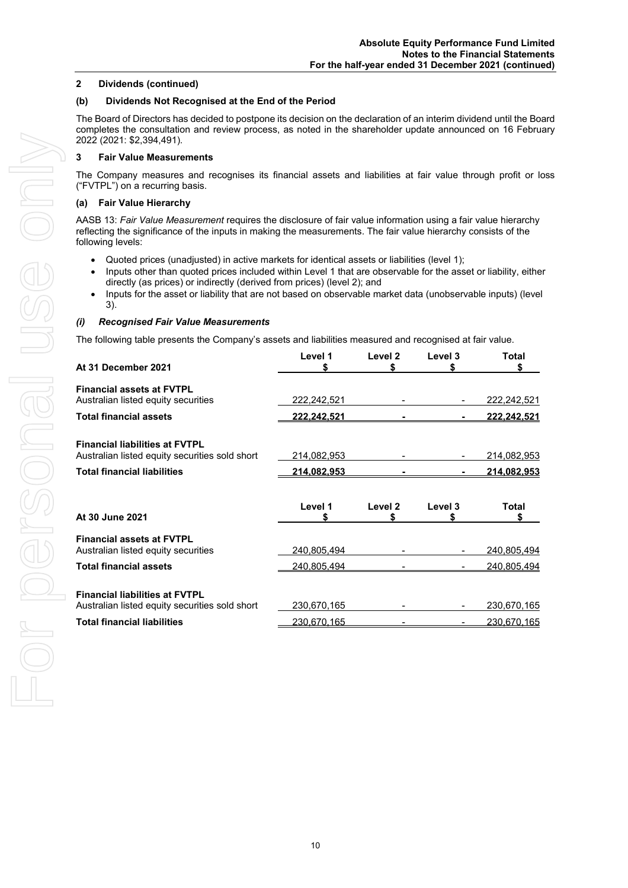#### **2 Dividends (continued)**

# **(b) Dividends Not Recognised at the End of the Period**

The Board of Directors has decided to postpone its decision on the declaration of an interim dividend until the Board completes the consultation and review process, as noted in the shareholder update announced on 16 February 2022 (2021: \$2,394,491).

# **3 Fair Value Measurements**

The Company measures and recognises its financial assets and liabilities at fair value through profit or loss ("FVTPL") on a recurring basis.

# **(a) Fair Value Hierarchy**

AASB 13: *Fair Value Measurement* requires the disclosure of fair value information using a fair value hierarchy reflecting the significance of the inputs in making the measurements. The fair value hierarchy consists of the following levels:

- Quoted prices (unadjusted) in active markets for identical assets or liabilities (level 1);
- Inputs other than quoted prices included within Level 1 that are observable for the asset or liability, either directly (as prices) or indirectly (derived from prices) (level 2); and
- Inputs for the asset or liability that are not based on observable market data (unobservable inputs) (level 3).

# *(i) Recognised Fair Value Measurements*

The following table presents the Company's assets and liabilities measured and recognised at fair value.

| At 31 December 2021                                                                     | Level 1<br>S       | Level <sub>2</sub><br>S | Level 3<br>S | Total<br>S                 |
|-----------------------------------------------------------------------------------------|--------------------|-------------------------|--------------|----------------------------|
| <b>Financial assets at FVTPL</b><br>Australian listed equity securities                 | 222,242,521        |                         |              | 222,242,521                |
| <b>Total financial assets</b>                                                           | <u>222.242.521</u> |                         |              | 222, 242, 521              |
| <b>Financial liabilities at FVTPL</b><br>Australian listed equity securities sold short | 214,082,953        |                         |              | <u>214,082,953</u>         |
| <b>Total financial liabilities</b>                                                      | <u>214,082,953</u> |                         |              | <u>214.082.953</u>         |
| At 30 June 2021                                                                         | Level 1<br>S       | Level 2<br>S            | Level 3      | Total<br>S                 |
|                                                                                         |                    |                         |              |                            |
| <b>Financial assets at FVTPL</b><br>Australian listed equity securities                 | 240,805,494        |                         |              |                            |
| <b>Total financial assets</b>                                                           | 240,805,494        |                         |              | 240,805,494<br>240,805,494 |
| <b>Financial liabilities at FVTPL</b><br>Australian listed equity securities sold short | 230,670,165        |                         |              | 230,670,165                |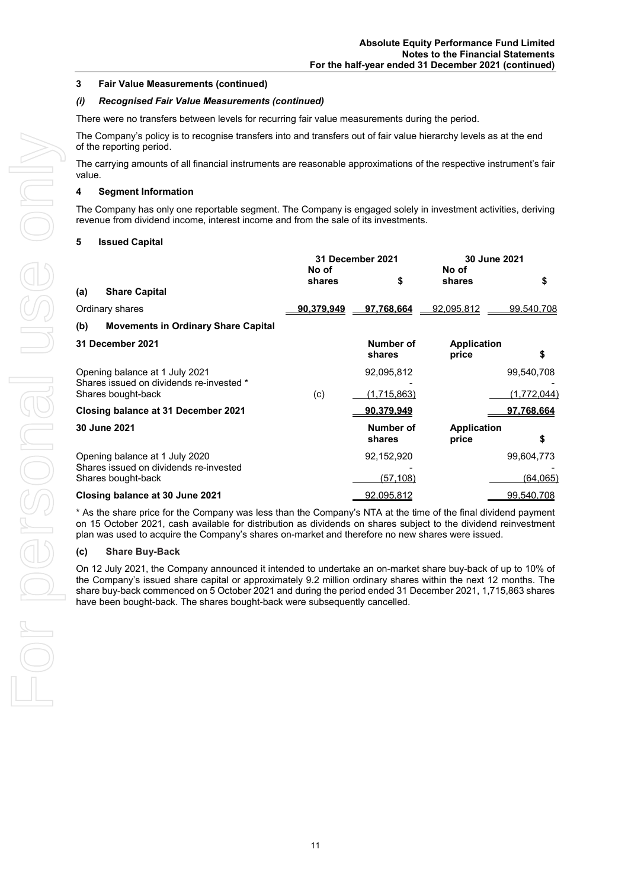#### **3 Fair Value Measurements (continued)**

#### *(i) Recognised Fair Value Measurements (continued)*

There were no transfers between levels for recurring fair value measurements during the period.

The Company's policy is to recognise transfers into and transfers out of fair value hierarchy levels as at the end of the reporting period.

The carrying amounts of all financial instruments are reasonable approximations of the respective instrument's fair value.

#### **4 Segment Information**

The Company has only one reportable segment. The Company is engaged solely in investment activities, deriving revenue from dividend income, interest income and from the sale of its investments.

#### **5 Issued Capital**

|     |                                                                | 31 December 2021<br>No of |                     | 30 June 2021<br>No of       |             |
|-----|----------------------------------------------------------------|---------------------------|---------------------|-----------------------------|-------------|
|     |                                                                | shares                    | \$                  | shares                      | \$          |
| (a) | <b>Share Capital</b>                                           |                           |                     |                             |             |
|     | Ordinary shares                                                | 90,379,949                | 97,768,664          | 92,095,812                  | 99.540,708  |
| (b) | <b>Movements in Ordinary Share Capital</b>                     |                           |                     |                             |             |
|     | 31 December 2021                                               |                           | Number of<br>shares | <b>Application</b><br>price | S           |
|     | Opening balance at 1 July 2021                                 |                           | 92,095,812          |                             | 99,540,708  |
|     | Shares issued on dividends re-invested *<br>Shares bought-back | (c)                       | (1,715,863)         |                             | (1,772,044) |
|     | Closing balance at 31 December 2021                            |                           | 90,379,949          |                             | 97.768.664  |
|     | 30 June 2021                                                   |                           | Number of<br>shares | <b>Application</b><br>price | \$          |
|     | Opening balance at 1 July 2020                                 |                           | 92,152,920          |                             | 99,604,773  |
|     | Shares issued on dividends re-invested<br>Shares bought-back   |                           | <u>(57,108)</u>     |                             | (64, 065)   |
|     | Closing balance at 30 June 2021                                |                           | 92,095,812          |                             | 99,540,708  |

\* As the share price for the Company was less than the Company's NTA at the time of the final dividend payment on 15 October 2021, cash available for distribution as dividends on shares subject to the dividend reinvestment plan was used to acquire the Company's shares on-market and therefore no new shares were issued.

#### **(c) Share Buy-Back**

On 12 July 2021, the Company announced it intended to undertake an on-market share buy-back of up to 10% of the Company's issued share capital or approximately 9.2 million ordinary shares within the next 12 months. The share buy-back commenced on 5 October 2021 and during the period ended 31 December 2021, 1,715,863 shares have been bought-back. The shares bought-back were subsequently cancelled.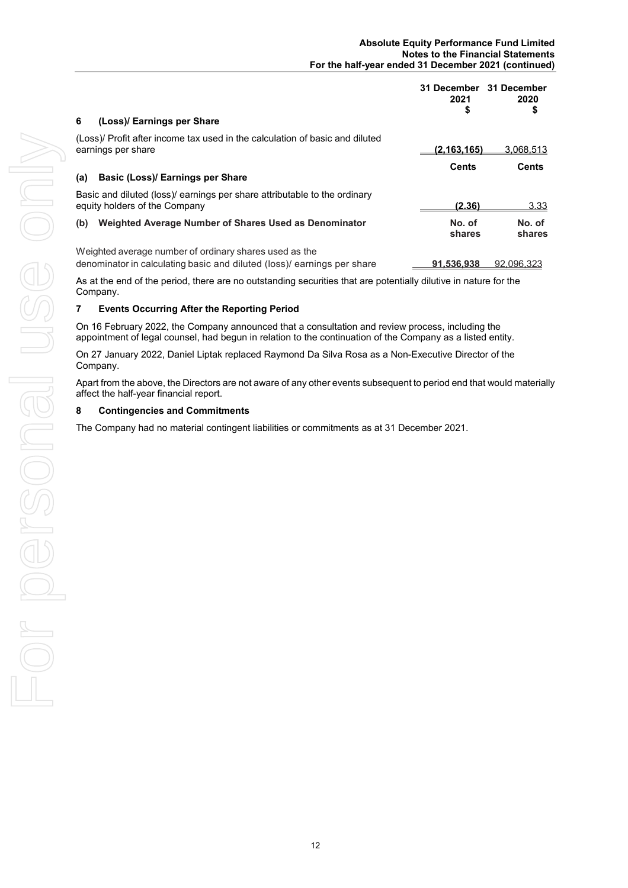| 6<br>(Loss)/ Earnings per Share                                                                                                   | 31 December<br>2021<br>\$ | 31 December<br>2020<br>\$ |
|-----------------------------------------------------------------------------------------------------------------------------------|---------------------------|---------------------------|
| (Loss)/ Profit after income tax used in the calculation of basic and diluted<br>earnings per share                                | (2, 163, 165)             | 3,068,513                 |
| Basic (Loss)/ Earnings per Share<br>(a)                                                                                           | <b>Cents</b>              | Cents                     |
| Basic and diluted (loss)/ earnings per share attributable to the ordinary<br>equity holders of the Company                        | (2.36)                    | 3.33                      |
| Weighted Average Number of Shares Used as Denominator<br>(b)                                                                      | No. of<br>shares          | No. of<br>shares          |
| Weighted average number of ordinary shares used as the<br>denominator in calculating basic and diluted (loss)/ earnings per share | 91.536.938                | 92.096.323                |

As at the end of the period, there are no outstanding securities that are potentially dilutive in nature for the Company.

# **7 Events Occurring After the Reporting Period**

On 16 February 2022, the Company announced that a consultation and review process, including the appointment of legal counsel, had begun in relation to the continuation of the Company as a listed entity.

On 27 January 2022, Daniel Liptak replaced Raymond Da Silva Rosa as a Non-Executive Director of the Company.

Apart from the above, the Directors are not aware of any other events subsequent to period end that would materially affect the half-year financial report.

#### **8 Contingencies and Commitments**

The Company had no material contingent liabilities or commitments as at 31 December 2021.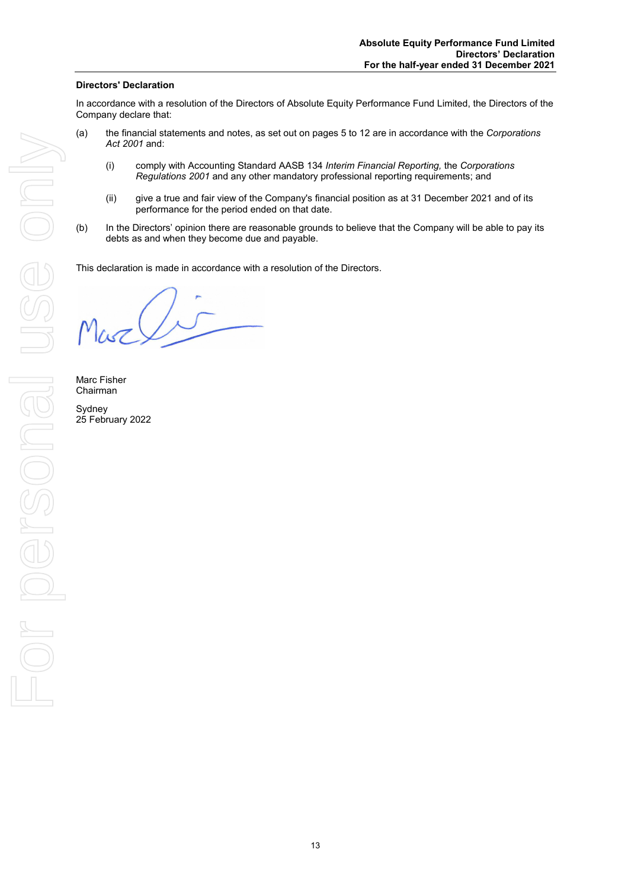# **Directors' Declaration**

In accordance with a resolution of the Directors of Absolute Equity Performance Fund Limited, the Directors of the Company declare that:

- (a) the financial statements and notes, as set out on pages 5 to 12 are in accordance with the *Corporations Act 2001* and:
	- (i) comply with Accounting Standard AASB 134 *Interim Financial Reporting,* the *Corporations Regulations 2001* and any other mandatory professional reporting requirements; and
	- (ii) give a true and fair view of the Company's financial position as at 31 December 2021 and of its performance for the period ended on that date.
- (b) In the Directors' opinion there are reasonable grounds to believe that the Company will be able to pay its debts as and when they become due and payable.

This declaration is made in accordance with a resolution of the Directors.

Marc Fisher Chairman Sydney 25 February 2022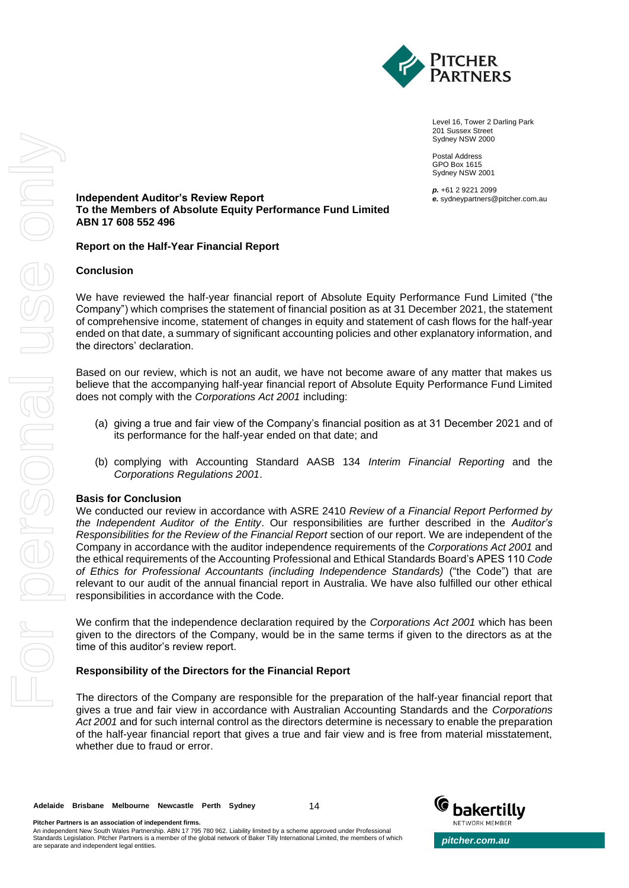

Level 16, Tower 2 Darling Park 201 Sussex Street Sydney NSW 2000

Postal Address GPO Box 1615 Sydney NSW 2001

*p.* +61 2 9221 2099 *e.* sydneypartners@pitcher.com.au

**Independent Auditor's Review Report To the Members of Absolute Equity Performance Fund Limited ABN 17 608 552 496**

# **Report on the Half-Year Financial Report**

# **Conclusion**

We have reviewed the half-year financial report of Absolute Equity Performance Fund Limited ("the Company") which comprises the statement of financial position as at 31 December 2021, the statement of comprehensive income, statement of changes in equity and statement of cash flows for the half-year ended on that date, a summary of significant accounting policies and other explanatory information, and the directors' declaration.

Based on our review, which is not an audit, we have not become aware of any matter that makes us believe that the accompanying half-year financial report of Absolute Equity Performance Fund Limited does not comply with the *Corporations Act 2001* including:

- (a) giving a true and fair view of the Company's financial position as at 31 December 2021 and of its performance for the half-year ended on that date; and
- (b) complying with Accounting Standard AASB 134 *Interim Financial Reporting* and the *Corporations Regulations 2001*.

#### **Basis for Conclusion**

We conducted our review in accordance with ASRE 2410 *Review of a Financial Report Performed by the Independent Auditor of the Entity*. Our responsibilities are further described in the *Auditor's Responsibilities for the Review of the Financial Report* section of our report. We are independent of the Company in accordance with the auditor independence requirements of the *Corporations Act 2001* and the ethical requirements of the Accounting Professional and Ethical Standards Board's APES 110 *Code of Ethics for Professional Accountants (including Independence Standards)* ("the Code") that are relevant to our audit of the annual financial report in Australia. We have also fulfilled our other ethical responsibilities in accordance with the Code.

We confirm that the independence declaration required by the *Corporations Act 2001* which has been given to the directors of the Company, would be in the same terms if given to the directors as at the time of this auditor's review report.

#### **Responsibility of the Directors for the Financial Report**

The directors of the Company are responsible for the preparation of the half-year financial report that gives a true and fair view in accordance with Australian Accounting Standards and the *Corporations Act 2001* and for such internal control as the directors determine is necessary to enable the preparation of the half-year financial report that gives a true and fair view and is free from material misstatement, whether due to fraud or error.

14



**Pitcher Partners is an association of independent firms.** An independent New South Wales Partnership. ABN 17 795 780 962. Liability limited by a scheme approved under Professional<br>Standards Legislation. Pitcher Partners is a member of the global network of Baker Tilly Internation